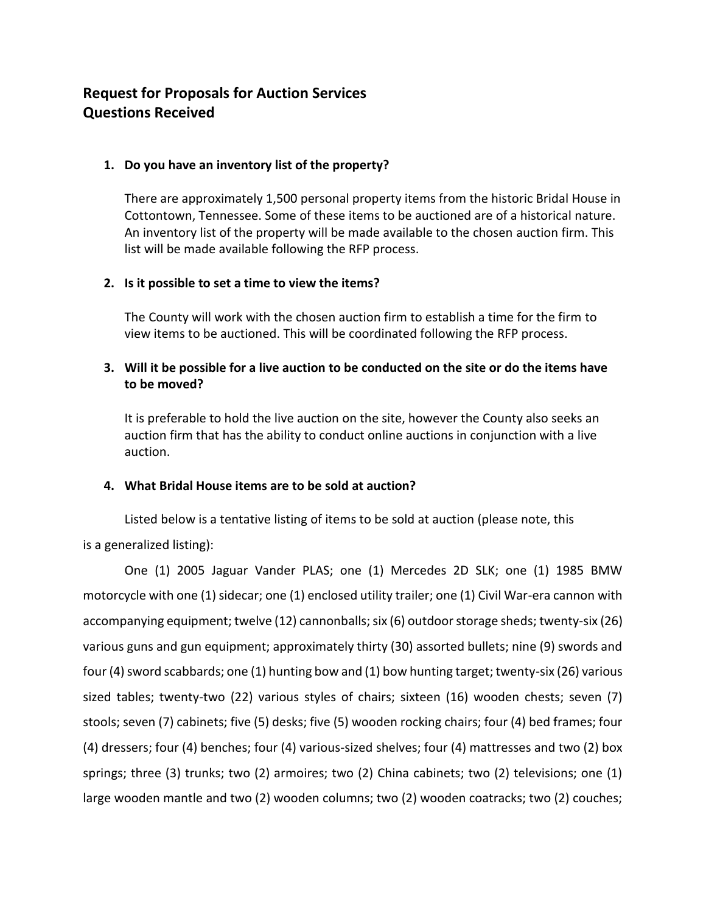# **Request for Proposals for Auction Services Questions Received**

### **1. Do you have an inventory list of the property?**

There are approximately 1,500 personal property items from the historic Bridal House in Cottontown, Tennessee. Some of these items to be auctioned are of a historical nature. An inventory list of the property will be made available to the chosen auction firm. This list will be made available following the RFP process.

### **2. Is it possible to set a time to view the items?**

The County will work with the chosen auction firm to establish a time for the firm to view items to be auctioned. This will be coordinated following the RFP process.

## **3. Will it be possible for a live auction to be conducted on the site or do the items have to be moved?**

It is preferable to hold the live auction on the site, however the County also seeks an auction firm that has the ability to conduct online auctions in conjunction with a live auction.

#### **4. What Bridal House items are to be sold at auction?**

Listed below is a tentative listing of items to be sold at auction (please note, this is a generalized listing):

One (1) 2005 Jaguar Vander PLAS; one (1) Mercedes 2D SLK; one (1) 1985 BMW motorcycle with one (1) sidecar; one (1) enclosed utility trailer; one (1) Civil War-era cannon with accompanying equipment; twelve (12) cannonballs; six (6) outdoor storage sheds; twenty-six (26) various guns and gun equipment; approximately thirty (30) assorted bullets; nine (9) swords and four (4) sword scabbards; one (1) hunting bow and (1) bow hunting target; twenty-six (26) various sized tables; twenty-two (22) various styles of chairs; sixteen (16) wooden chests; seven (7) stools; seven (7) cabinets; five (5) desks; five (5) wooden rocking chairs; four (4) bed frames; four (4) dressers; four (4) benches; four (4) various-sized shelves; four (4) mattresses and two (2) box springs; three (3) trunks; two (2) armoires; two (2) China cabinets; two (2) televisions; one (1) large wooden mantle and two (2) wooden columns; two (2) wooden coatracks; two (2) couches;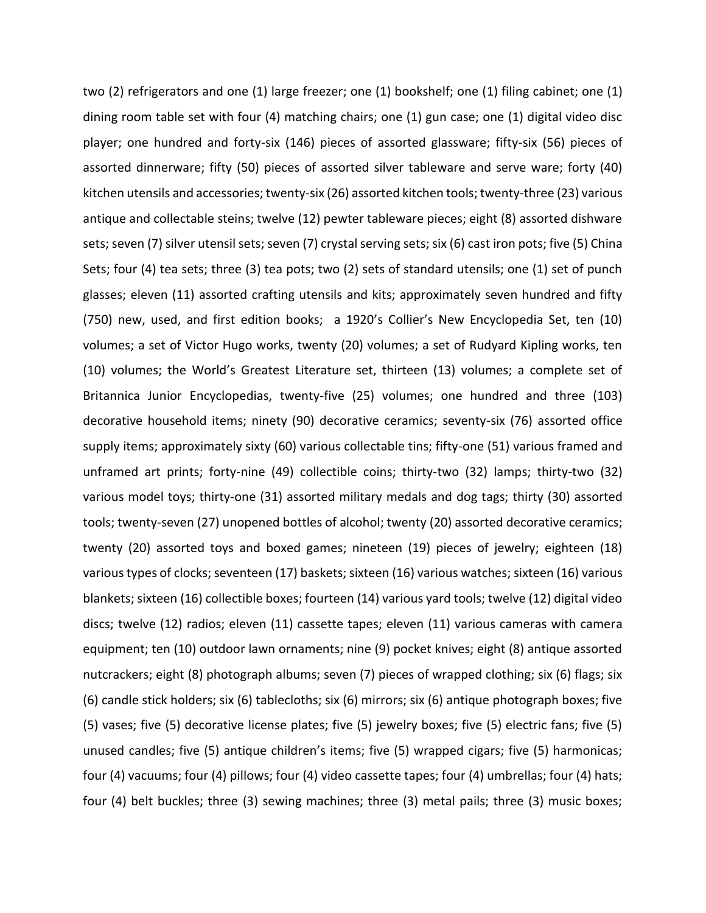two (2) refrigerators and one (1) large freezer; one (1) bookshelf; one (1) filing cabinet; one (1) dining room table set with four (4) matching chairs; one (1) gun case; one (1) digital video disc player; one hundred and forty-six (146) pieces of assorted glassware; fifty-six (56) pieces of assorted dinnerware; fifty (50) pieces of assorted silver tableware and serve ware; forty (40) kitchen utensils and accessories; twenty-six (26) assorted kitchen tools; twenty-three (23) various antique and collectable steins; twelve (12) pewter tableware pieces; eight (8) assorted dishware sets; seven (7) silver utensil sets; seven (7) crystal serving sets; six (6) cast iron pots; five (5) China Sets; four (4) tea sets; three (3) tea pots; two (2) sets of standard utensils; one (1) set of punch glasses; eleven (11) assorted crafting utensils and kits; approximately seven hundred and fifty (750) new, used, and first edition books; a 1920's Collier's New Encyclopedia Set, ten (10) volumes; a set of Victor Hugo works, twenty (20) volumes; a set of Rudyard Kipling works, ten (10) volumes; the World's Greatest Literature set, thirteen (13) volumes; a complete set of Britannica Junior Encyclopedias, twenty-five (25) volumes; one hundred and three (103) decorative household items; ninety (90) decorative ceramics; seventy-six (76) assorted office supply items; approximately sixty (60) various collectable tins; fifty-one (51) various framed and unframed art prints; forty-nine (49) collectible coins; thirty-two (32) lamps; thirty-two (32) various model toys; thirty-one (31) assorted military medals and dog tags; thirty (30) assorted tools; twenty-seven (27) unopened bottles of alcohol; twenty (20) assorted decorative ceramics; twenty (20) assorted toys and boxed games; nineteen (19) pieces of jewelry; eighteen (18) various types of clocks; seventeen (17) baskets; sixteen (16) various watches; sixteen (16) various blankets; sixteen (16) collectible boxes; fourteen (14) various yard tools; twelve (12) digital video discs; twelve (12) radios; eleven (11) cassette tapes; eleven (11) various cameras with camera equipment; ten (10) outdoor lawn ornaments; nine (9) pocket knives; eight (8) antique assorted nutcrackers; eight (8) photograph albums; seven (7) pieces of wrapped clothing; six (6) flags; six (6) candle stick holders; six (6) tablecloths; six (6) mirrors; six (6) antique photograph boxes; five (5) vases; five (5) decorative license plates; five (5) jewelry boxes; five (5) electric fans; five (5) unused candles; five (5) antique children's items; five (5) wrapped cigars; five (5) harmonicas; four (4) vacuums; four (4) pillows; four (4) video cassette tapes; four (4) umbrellas; four (4) hats; four (4) belt buckles; three (3) sewing machines; three (3) metal pails; three (3) music boxes;